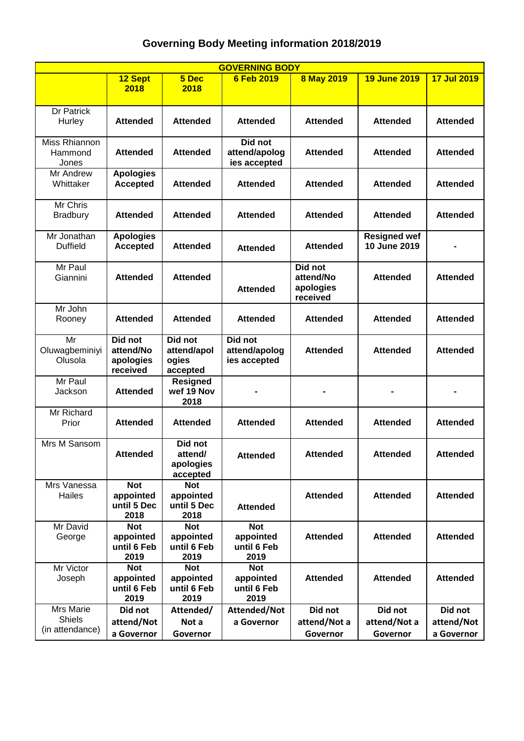## **Governing Body Meeting information 2018/2019**

| <b>GOVERNING BODY</b>                         |                                                |                                                |                                                |                                               |                                     |                                     |  |  |  |  |  |
|-----------------------------------------------|------------------------------------------------|------------------------------------------------|------------------------------------------------|-----------------------------------------------|-------------------------------------|-------------------------------------|--|--|--|--|--|
|                                               | 12 Sept<br>2018                                | 5 Dec<br>2018                                  | 6 Feb 2019                                     | <b>8 May 2019</b>                             | <b>19 June 2019</b>                 | 17 Jul 2019                         |  |  |  |  |  |
| Dr Patrick<br>Hurley                          | <b>Attended</b>                                | <b>Attended</b>                                | <b>Attended</b>                                | <b>Attended</b>                               | <b>Attended</b>                     | <b>Attended</b>                     |  |  |  |  |  |
| Miss Rhiannon<br>Hammond<br>Jones             | <b>Attended</b>                                | <b>Attended</b>                                | Did not<br>attend/apolog<br>ies accepted       | <b>Attended</b>                               | <b>Attended</b>                     | <b>Attended</b>                     |  |  |  |  |  |
| Mr Andrew<br>Whittaker                        | <b>Apologies</b><br><b>Accepted</b>            | <b>Attended</b>                                | <b>Attended</b>                                | <b>Attended</b>                               | <b>Attended</b>                     | <b>Attended</b>                     |  |  |  |  |  |
| Mr Chris<br><b>Bradbury</b>                   | <b>Attended</b>                                | <b>Attended</b>                                | <b>Attended</b>                                | <b>Attended</b>                               | <b>Attended</b>                     | <b>Attended</b>                     |  |  |  |  |  |
| Mr Jonathan<br><b>Duffield</b>                | <b>Apologies</b><br><b>Accepted</b>            | <b>Attended</b>                                | <b>Attended</b>                                | <b>Attended</b>                               | <b>Resigned wef</b><br>10 June 2019 |                                     |  |  |  |  |  |
| Mr Paul<br>Giannini                           | <b>Attended</b>                                | <b>Attended</b>                                | <b>Attended</b>                                | Did not<br>attend/No<br>apologies<br>received | <b>Attended</b>                     | <b>Attended</b>                     |  |  |  |  |  |
| Mr John<br>Rooney                             | Attended                                       | <b>Attended</b>                                | <b>Attended</b>                                | <b>Attended</b>                               | <b>Attended</b>                     | <b>Attended</b>                     |  |  |  |  |  |
| Mr<br>Oluwagbeminiyi<br>Olusola               | Did not<br>attend/No<br>apologies<br>received  | Did not<br>attend/apol<br>ogies<br>accepted    | Did not<br>attend/apolog<br>ies accepted       | <b>Attended</b>                               | <b>Attended</b>                     | <b>Attended</b>                     |  |  |  |  |  |
| Mr Paul<br>Jackson                            | <b>Attended</b>                                | <b>Resigned</b><br>wef 19 Nov<br>2018          |                                                |                                               |                                     |                                     |  |  |  |  |  |
| Mr Richard<br>Prior                           | <b>Attended</b>                                | <b>Attended</b>                                | <b>Attended</b>                                | <b>Attended</b>                               | <b>Attended</b>                     | <b>Attended</b>                     |  |  |  |  |  |
| Mrs M Sansom                                  | <b>Attended</b>                                | Did not<br>attend/<br>apologies<br>accepted    | <b>Attended</b>                                | <b>Attended</b>                               | <b>Attended</b>                     | <b>Attended</b>                     |  |  |  |  |  |
| Mrs Vanessa<br>Hailes                         | <b>Not</b><br>appointed<br>until 5 Dec<br>2018 | <b>Not</b><br>appointed<br>until 5 Dec<br>2018 | <b>Attended</b>                                | <b>Attended</b>                               | <b>Attended</b>                     | <b>Attended</b>                     |  |  |  |  |  |
| Mr David<br>George                            | <b>Not</b><br>appointed<br>until 6 Feb<br>2019 | <b>Not</b><br>appointed<br>until 6 Feb<br>2019 | <b>Not</b><br>appointed<br>until 6 Feb<br>2019 | <b>Attended</b>                               | <b>Attended</b>                     | <b>Attended</b>                     |  |  |  |  |  |
| Mr Victor<br>Joseph                           | <b>Not</b><br>appointed<br>until 6 Feb<br>2019 | <b>Not</b><br>appointed<br>until 6 Feb<br>2019 | <b>Not</b><br>appointed<br>until 6 Feb<br>2019 | <b>Attended</b>                               | <b>Attended</b>                     | <b>Attended</b>                     |  |  |  |  |  |
| Mrs Marie<br><b>Shiels</b><br>(in attendance) | Did not<br>attend/Not<br>a Governor            | Attended/<br>Not a<br>Governor                 | Attended/Not<br>a Governor                     | Did not<br>attend/Not a<br>Governor           | Did not<br>attend/Not a<br>Governor | Did not<br>attend/Not<br>a Governor |  |  |  |  |  |